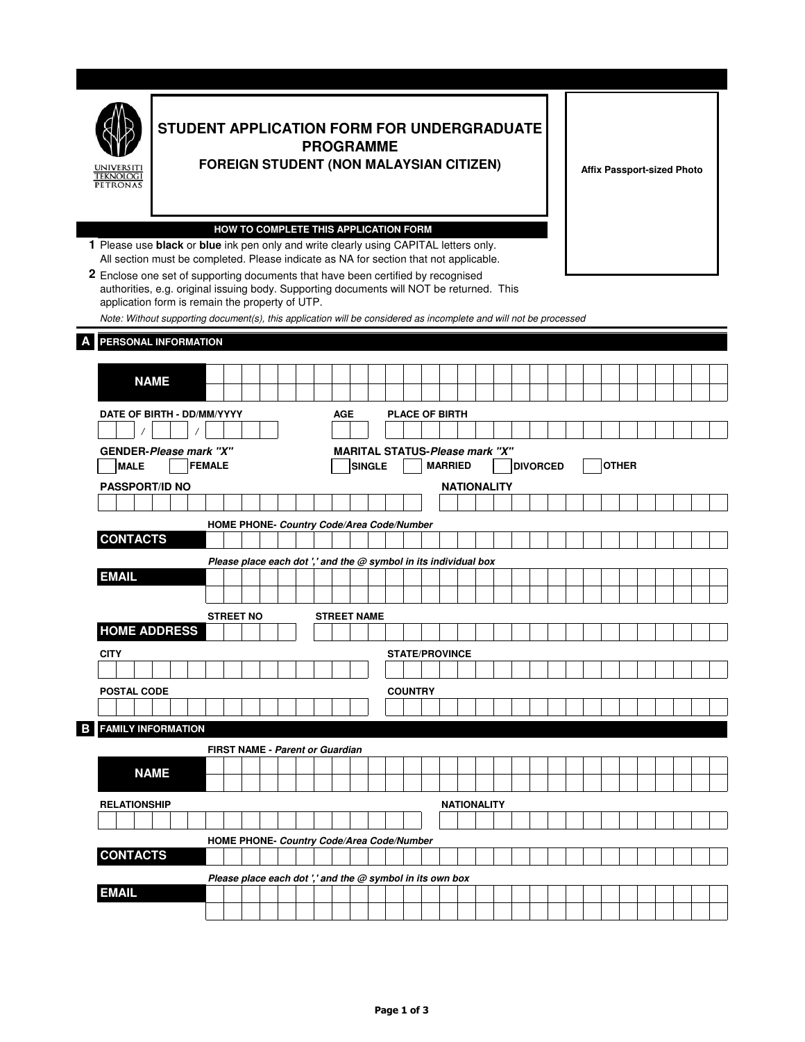|   | <b>STUDENT APPLICATION FORM FOR UNDERGRADUATE</b><br><b>PROGRAMME</b><br><b>FOREIGN STUDENT (NON MALAYSIAN CITIZEN)</b><br><b><i>TEKNOLOGI</i></b><br><b>PETRONAS</b>                                                                                                                                                                                |                                                                                                                                        |                                                                    |  |  |  |                    |  |  |                       |  |                    |  | <b>Affix Passport-sized Photo</b> |              |  |  |  |  |  |  |  |  |
|---|------------------------------------------------------------------------------------------------------------------------------------------------------------------------------------------------------------------------------------------------------------------------------------------------------------------------------------------------------|----------------------------------------------------------------------------------------------------------------------------------------|--------------------------------------------------------------------|--|--|--|--------------------|--|--|-----------------------|--|--------------------|--|-----------------------------------|--------------|--|--|--|--|--|--|--|--|
|   | HOW TO COMPLETE THIS APPLICATION FORM<br>1 Please use black or blue ink pen only and write clearly using CAPITAL letters only.<br>All section must be completed. Please indicate as NA for section that not applicable.                                                                                                                              |                                                                                                                                        |                                                                    |  |  |  |                    |  |  |                       |  |                    |  |                                   |              |  |  |  |  |  |  |  |  |
|   | 2 Enclose one set of supporting documents that have been certified by recognised<br>authorities, e.g. original issuing body. Supporting documents will NOT be returned. This<br>application form is remain the property of UTP.<br>Note: Without supporting document(s), this application will be considered as incomplete and will not be processed |                                                                                                                                        |                                                                    |  |  |  |                    |  |  |                       |  |                    |  |                                   |              |  |  |  |  |  |  |  |  |
|   | PERSONAL INFORMATION                                                                                                                                                                                                                                                                                                                                 |                                                                                                                                        |                                                                    |  |  |  |                    |  |  |                       |  |                    |  |                                   |              |  |  |  |  |  |  |  |  |
|   |                                                                                                                                                                                                                                                                                                                                                      |                                                                                                                                        |                                                                    |  |  |  |                    |  |  |                       |  |                    |  |                                   |              |  |  |  |  |  |  |  |  |
|   | <b>NAME</b>                                                                                                                                                                                                                                                                                                                                          |                                                                                                                                        |                                                                    |  |  |  |                    |  |  |                       |  |                    |  |                                   |              |  |  |  |  |  |  |  |  |
|   |                                                                                                                                                                                                                                                                                                                                                      |                                                                                                                                        |                                                                    |  |  |  |                    |  |  |                       |  |                    |  |                                   |              |  |  |  |  |  |  |  |  |
|   | DATE OF BIRTH - DD/MM/YYYY                                                                                                                                                                                                                                                                                                                           |                                                                                                                                        |                                                                    |  |  |  | <b>AGE</b>         |  |  | <b>PLACE OF BIRTH</b> |  |                    |  |                                   |              |  |  |  |  |  |  |  |  |
|   |                                                                                                                                                                                                                                                                                                                                                      |                                                                                                                                        |                                                                    |  |  |  |                    |  |  |                       |  |                    |  |                                   |              |  |  |  |  |  |  |  |  |
|   | <b>MALE</b>                                                                                                                                                                                                                                                                                                                                          | <b>MARITAL STATUS-Please mark "X"</b><br>GENDER-Please mark "X"<br><b>MARRIED</b><br><b>FEMALE</b><br><b>SINGLE</b><br><b>DIVORCED</b> |                                                                    |  |  |  |                    |  |  |                       |  |                    |  |                                   | <b>OTHER</b> |  |  |  |  |  |  |  |  |
|   | PASSPORT/ID NO                                                                                                                                                                                                                                                                                                                                       |                                                                                                                                        |                                                                    |  |  |  |                    |  |  |                       |  | <b>NATIONALITY</b> |  |                                   |              |  |  |  |  |  |  |  |  |
|   |                                                                                                                                                                                                                                                                                                                                                      |                                                                                                                                        |                                                                    |  |  |  |                    |  |  |                       |  |                    |  |                                   |              |  |  |  |  |  |  |  |  |
|   |                                                                                                                                                                                                                                                                                                                                                      |                                                                                                                                        | HOME PHONE- Country Code/Area Code/Number                          |  |  |  |                    |  |  |                       |  |                    |  |                                   |              |  |  |  |  |  |  |  |  |
|   | <b>CONTACTS</b>                                                                                                                                                                                                                                                                                                                                      |                                                                                                                                        |                                                                    |  |  |  |                    |  |  |                       |  |                    |  |                                   |              |  |  |  |  |  |  |  |  |
|   |                                                                                                                                                                                                                                                                                                                                                      |                                                                                                                                        | Please place each dot ',' and the $@$ symbol in its individual box |  |  |  |                    |  |  |                       |  |                    |  |                                   |              |  |  |  |  |  |  |  |  |
|   | <b>EMAIL</b>                                                                                                                                                                                                                                                                                                                                         |                                                                                                                                        |                                                                    |  |  |  |                    |  |  |                       |  |                    |  |                                   |              |  |  |  |  |  |  |  |  |
|   |                                                                                                                                                                                                                                                                                                                                                      |                                                                                                                                        |                                                                    |  |  |  |                    |  |  |                       |  |                    |  |                                   |              |  |  |  |  |  |  |  |  |
|   | <b>HOME ADDRESS</b>                                                                                                                                                                                                                                                                                                                                  |                                                                                                                                        | <b>STREET NO</b>                                                   |  |  |  | <b>STREET NAME</b> |  |  |                       |  |                    |  |                                   |              |  |  |  |  |  |  |  |  |
|   |                                                                                                                                                                                                                                                                                                                                                      |                                                                                                                                        |                                                                    |  |  |  |                    |  |  | <b>STATE/PROVINCE</b> |  |                    |  |                                   |              |  |  |  |  |  |  |  |  |
|   |                                                                                                                                                                                                                                                                                                                                                      |                                                                                                                                        |                                                                    |  |  |  |                    |  |  |                       |  |                    |  |                                   |              |  |  |  |  |  |  |  |  |
|   | <b>CITY</b>                                                                                                                                                                                                                                                                                                                                          |                                                                                                                                        |                                                                    |  |  |  |                    |  |  |                       |  |                    |  |                                   |              |  |  |  |  |  |  |  |  |
|   |                                                                                                                                                                                                                                                                                                                                                      |                                                                                                                                        |                                                                    |  |  |  |                    |  |  |                       |  |                    |  |                                   |              |  |  |  |  |  |  |  |  |
|   | <b>POSTAL CODE</b>                                                                                                                                                                                                                                                                                                                                   |                                                                                                                                        |                                                                    |  |  |  |                    |  |  | <b>COUNTRY</b>        |  |                    |  |                                   |              |  |  |  |  |  |  |  |  |
|   |                                                                                                                                                                                                                                                                                                                                                      |                                                                                                                                        |                                                                    |  |  |  |                    |  |  |                       |  |                    |  |                                   |              |  |  |  |  |  |  |  |  |
| в | <b>FAMILY INFORMATION</b>                                                                                                                                                                                                                                                                                                                            |                                                                                                                                        |                                                                    |  |  |  |                    |  |  |                       |  |                    |  |                                   |              |  |  |  |  |  |  |  |  |
|   |                                                                                                                                                                                                                                                                                                                                                      |                                                                                                                                        | FIRST NAME - Parent or Guardian                                    |  |  |  |                    |  |  |                       |  |                    |  |                                   |              |  |  |  |  |  |  |  |  |
|   | <b>NAME</b>                                                                                                                                                                                                                                                                                                                                          |                                                                                                                                        |                                                                    |  |  |  |                    |  |  |                       |  |                    |  |                                   |              |  |  |  |  |  |  |  |  |
|   | <b>RELATIONSHIP</b>                                                                                                                                                                                                                                                                                                                                  |                                                                                                                                        |                                                                    |  |  |  |                    |  |  |                       |  | <b>NATIONALITY</b> |  |                                   |              |  |  |  |  |  |  |  |  |
|   |                                                                                                                                                                                                                                                                                                                                                      |                                                                                                                                        |                                                                    |  |  |  |                    |  |  |                       |  |                    |  |                                   |              |  |  |  |  |  |  |  |  |
|   |                                                                                                                                                                                                                                                                                                                                                      |                                                                                                                                        | HOME PHONE- Country Code/Area Code/Number                          |  |  |  |                    |  |  |                       |  |                    |  |                                   |              |  |  |  |  |  |  |  |  |
|   | <b>CONTACTS</b>                                                                                                                                                                                                                                                                                                                                      |                                                                                                                                        |                                                                    |  |  |  |                    |  |  |                       |  |                    |  |                                   |              |  |  |  |  |  |  |  |  |
|   | <b>EMAIL</b>                                                                                                                                                                                                                                                                                                                                         |                                                                                                                                        | Please place each dot ',' and the $@$ symbol in its own box        |  |  |  |                    |  |  |                       |  |                    |  |                                   |              |  |  |  |  |  |  |  |  |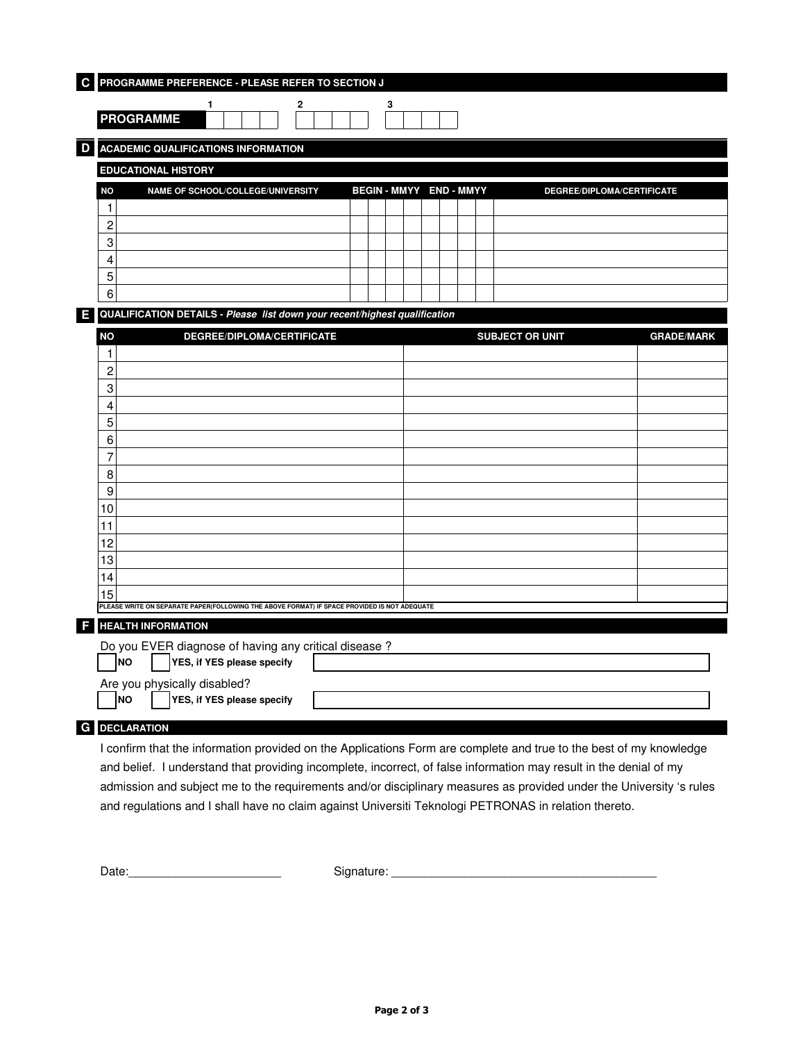| $\mathbf c$ | PROGRAMME PREFERENCE - PLEASE REFER TO SECTION J                                             |           |                                        |  |  |   |  |  |  |                            |   |                                   |  |  |  |                         |  |  |  |  |                                                                                                                     |                   |  |
|-------------|----------------------------------------------------------------------------------------------|-----------|----------------------------------------|--|--|---|--|--|--|----------------------------|---|-----------------------------------|--|--|--|-------------------------|--|--|--|--|---------------------------------------------------------------------------------------------------------------------|-------------------|--|
|             |                                                                                              |           |                                        |  |  | 1 |  |  |  |                            | 2 |                                   |  |  |  | 3                       |  |  |  |  |                                                                                                                     |                   |  |
|             | <b>PROGRAMME</b>                                                                             |           |                                        |  |  |   |  |  |  |                            |   |                                   |  |  |  |                         |  |  |  |  |                                                                                                                     |                   |  |
| D           | <b>ACADEMIC QUALIFICATIONS INFORMATION</b>                                                   |           |                                        |  |  |   |  |  |  |                            |   |                                   |  |  |  |                         |  |  |  |  |                                                                                                                     |                   |  |
|             | <b>EDUCATIONAL HISTORY</b>                                                                   |           |                                        |  |  |   |  |  |  |                            |   |                                   |  |  |  |                         |  |  |  |  |                                                                                                                     |                   |  |
|             | ΝO                                                                                           |           |                                        |  |  |   |  |  |  |                            |   | NAME OF SCHOOL/COLLEGE/UNIVERSITY |  |  |  | BEGIN - MMYY END - MMYY |  |  |  |  | DEGREE/DIPLOMA/CERTIFICATE                                                                                          |                   |  |
|             | 1                                                                                            |           |                                        |  |  |   |  |  |  |                            |   |                                   |  |  |  |                         |  |  |  |  |                                                                                                                     |                   |  |
|             | 2                                                                                            |           |                                        |  |  |   |  |  |  |                            |   |                                   |  |  |  |                         |  |  |  |  |                                                                                                                     |                   |  |
|             | 3                                                                                            |           |                                        |  |  |   |  |  |  |                            |   |                                   |  |  |  |                         |  |  |  |  |                                                                                                                     |                   |  |
|             | 4                                                                                            |           |                                        |  |  |   |  |  |  |                            |   |                                   |  |  |  |                         |  |  |  |  |                                                                                                                     |                   |  |
|             | 5                                                                                            |           |                                        |  |  |   |  |  |  |                            |   |                                   |  |  |  |                         |  |  |  |  |                                                                                                                     |                   |  |
|             | 6                                                                                            |           |                                        |  |  |   |  |  |  |                            |   |                                   |  |  |  |                         |  |  |  |  |                                                                                                                     |                   |  |
| E           | QUALIFICATION DETAILS - Please list down your recent/highest qualification                   |           |                                        |  |  |   |  |  |  |                            |   |                                   |  |  |  |                         |  |  |  |  |                                                                                                                     |                   |  |
|             | <b>NO</b>                                                                                    |           |                                        |  |  |   |  |  |  |                            |   | DEGREE/DIPLOMA/CERTIFICATE        |  |  |  |                         |  |  |  |  | <b>SUBJECT OR UNIT</b>                                                                                              | <b>GRADE/MARK</b> |  |
|             | 1                                                                                            |           |                                        |  |  |   |  |  |  |                            |   |                                   |  |  |  |                         |  |  |  |  |                                                                                                                     |                   |  |
|             | 2                                                                                            |           |                                        |  |  |   |  |  |  |                            |   |                                   |  |  |  |                         |  |  |  |  |                                                                                                                     |                   |  |
|             | 3                                                                                            |           |                                        |  |  |   |  |  |  |                            |   |                                   |  |  |  |                         |  |  |  |  |                                                                                                                     |                   |  |
|             | 4<br>5                                                                                       |           |                                        |  |  |   |  |  |  |                            |   |                                   |  |  |  |                         |  |  |  |  |                                                                                                                     |                   |  |
|             | 6                                                                                            |           |                                        |  |  |   |  |  |  |                            |   |                                   |  |  |  |                         |  |  |  |  |                                                                                                                     |                   |  |
|             | 7                                                                                            |           |                                        |  |  |   |  |  |  |                            |   |                                   |  |  |  |                         |  |  |  |  |                                                                                                                     |                   |  |
|             | 8                                                                                            |           |                                        |  |  |   |  |  |  |                            |   |                                   |  |  |  |                         |  |  |  |  |                                                                                                                     |                   |  |
|             | 9                                                                                            |           |                                        |  |  |   |  |  |  |                            |   |                                   |  |  |  |                         |  |  |  |  |                                                                                                                     |                   |  |
|             | 10                                                                                           |           |                                        |  |  |   |  |  |  |                            |   |                                   |  |  |  |                         |  |  |  |  |                                                                                                                     |                   |  |
|             | 11                                                                                           |           |                                        |  |  |   |  |  |  |                            |   |                                   |  |  |  |                         |  |  |  |  |                                                                                                                     |                   |  |
|             | 12                                                                                           |           |                                        |  |  |   |  |  |  |                            |   |                                   |  |  |  |                         |  |  |  |  |                                                                                                                     |                   |  |
|             | 13                                                                                           |           |                                        |  |  |   |  |  |  |                            |   |                                   |  |  |  |                         |  |  |  |  |                                                                                                                     |                   |  |
|             | 14                                                                                           |           |                                        |  |  |   |  |  |  |                            |   |                                   |  |  |  |                         |  |  |  |  |                                                                                                                     |                   |  |
|             | 15                                                                                           |           |                                        |  |  |   |  |  |  |                            |   |                                   |  |  |  |                         |  |  |  |  |                                                                                                                     |                   |  |
|             | PLEASE WRITE ON SEPARATE PAPER(FOLLOWING THE ABOVE FORMAT) IF SPACE PROVIDED IS NOT ADEQUATE |           |                                        |  |  |   |  |  |  |                            |   |                                   |  |  |  |                         |  |  |  |  |                                                                                                                     |                   |  |
|             | <b>HEALTH INFORMATION</b>                                                                    |           |                                        |  |  |   |  |  |  |                            |   |                                   |  |  |  |                         |  |  |  |  |                                                                                                                     |                   |  |
|             | Do you EVER diagnose of having any critical disease?                                         |           | $\n  NO\n  YES, if YES please specify$ |  |  |   |  |  |  |                            |   |                                   |  |  |  |                         |  |  |  |  |                                                                                                                     |                   |  |
|             |                                                                                              |           |                                        |  |  |   |  |  |  |                            |   |                                   |  |  |  |                         |  |  |  |  |                                                                                                                     |                   |  |
|             | Are you physically disabled?                                                                 | <b>NO</b> |                                        |  |  |   |  |  |  | YES, if YES please specify |   |                                   |  |  |  |                         |  |  |  |  |                                                                                                                     |                   |  |
|             |                                                                                              |           |                                        |  |  |   |  |  |  |                            |   |                                   |  |  |  |                         |  |  |  |  |                                                                                                                     |                   |  |
| G           | <b>DECLARATION</b>                                                                           |           |                                        |  |  |   |  |  |  |                            |   |                                   |  |  |  |                         |  |  |  |  |                                                                                                                     |                   |  |
|             |                                                                                              |           |                                        |  |  |   |  |  |  |                            |   |                                   |  |  |  |                         |  |  |  |  | I confirm that the information provided on the Applications Form are complete and true to the best of my knowledge  |                   |  |
|             |                                                                                              |           |                                        |  |  |   |  |  |  |                            |   |                                   |  |  |  |                         |  |  |  |  | and belief. I understand that providing incomplete, incorrect, of false information may result in the denial of my  |                   |  |
|             |                                                                                              |           |                                        |  |  |   |  |  |  |                            |   |                                   |  |  |  |                         |  |  |  |  | admission and subject me to the requirements and/or disciplinary measures as provided under the University 's rules |                   |  |

and regulations and I shall have no claim against Universiti Teknologi PETRONAS in relation thereto.

Date:\_\_\_\_\_\_\_\_\_\_\_\_\_\_\_\_\_\_\_\_\_\_\_ Signature: \_\_\_\_\_\_\_\_\_\_\_\_\_\_\_\_\_\_\_\_\_\_\_\_\_\_\_\_\_\_\_\_\_\_\_\_\_\_\_\_